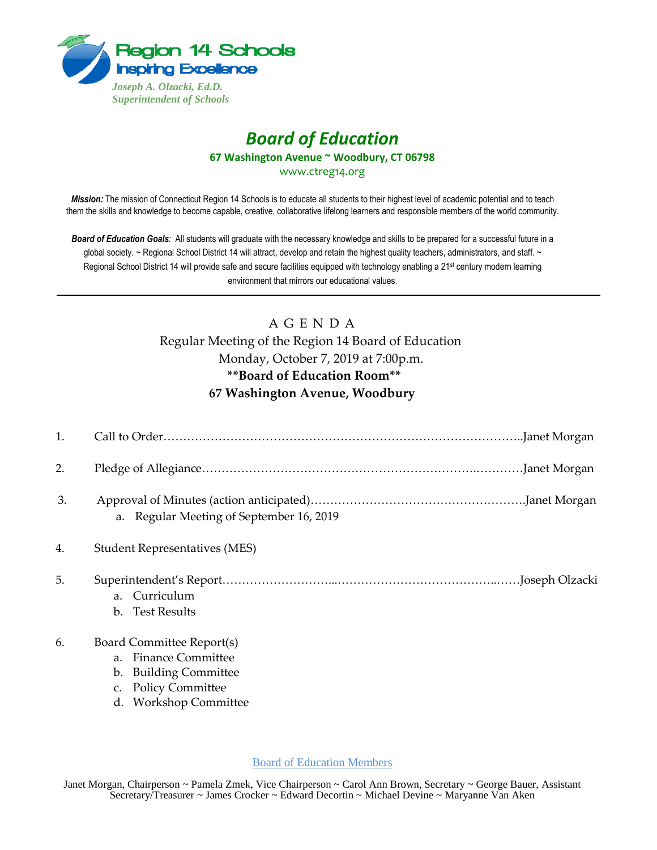

# *Board of Education* **67 Washington Avenue ~ Woodbury, CT 06798**

www.ctreg14.org

*Mission:* The mission of Connecticut Region 14 Schools is to educate all students to their highest level of academic potential and to teach them the skills and knowledge to become capable, creative, collaborative lifelong learners and responsible members of the world community.

*Board of Education Goals:* All students will graduate with the necessary knowledge and skills to be prepared for a successful future in a global society. ~ Regional School District 14 will attract, develop and retain the highest quality teachers, administrators, and staff. ~ Regional School District 14 will provide safe and secure facilities equipped with technology enabling a 21<sup>st</sup> century modern learning environment that mirrors our educational values.

# A G E N D A

Regular Meeting of the Region 14 Board of Education Monday, October 7, 2019 at 7:00p.m. **\*\*Board of Education Room\*\* 67 Washington Avenue, Woodbury** 

| 1. |                                                                                                   |
|----|---------------------------------------------------------------------------------------------------|
| 2. |                                                                                                   |
| 3. | a. Regular Meeting of September 16, 2019                                                          |
| 4. | <b>Student Representatives (MES)</b>                                                              |
| 5. | a. Curriculum<br>b. Test Results                                                                  |
| 6. | Board Committee Report(s)<br>a. Finance Committee<br>b. Building Committee<br>c. Policy Committee |

d. Workshop Committee

Board of Education Members

Janet Morgan, Chairperson ~ Pamela Zmek, Vice Chairperson ~ Carol Ann Brown, Secretary ~ George Bauer, Assistant Secretary/Treasurer ~ James Crocker ~ Edward Decortin ~ Michael Devine ~ Maryanne Van Aken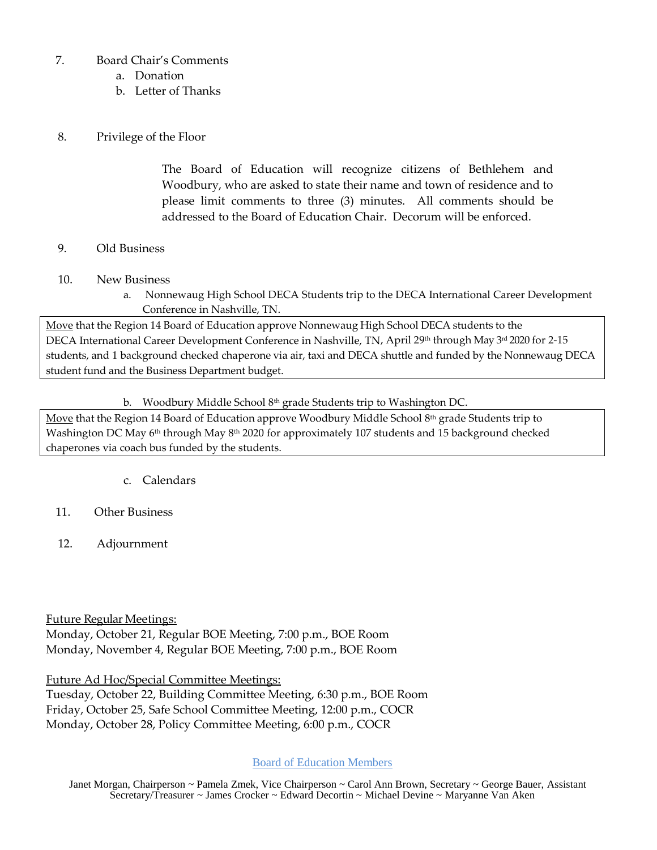# 7. Board Chair's Comments

- a. Donation
- b. Letter of Thanks

## 8. Privilege of the Floor

The Board of Education will recognize citizens of Bethlehem and Woodbury, who are asked to state their name and town of residence and to please limit comments to three (3) minutes. All comments should be addressed to the Board of Education Chair. Decorum will be enforced.

#### 9. Old Business

- 10. New Business
	- a. Nonnewaug High School DECA Students trip to the DECA International Career Development Conference in Nashville, TN.

Move that the Region 14 Board of Education approve Nonnewaug High School DECA students to the DECA International Career Development Conference in Nashville, TN, April 29th through May 3rd 2020 for 2-15 students, and 1 background checked chaperone via air, taxi and DECA shuttle and funded by the Nonnewaug DECA student fund and the Business Department budget.

#### b. Woodbury Middle School 8<sup>th</sup> grade Students trip to Washington DC.

Move that the Region 14 Board of Education approve Woodbury Middle School 8<sup>th</sup> grade Students trip to Washington DC May 6<sup>th</sup> through May 8<sup>th</sup> 2020 for approximately 107 students and 15 background checked chaperones via coach bus funded by the students.

#### c. Calendars

# 11. Other Business

12. Adjournment

Future Regular Meetings:

Monday, October 21, Regular BOE Meeting, 7:00 p.m., BOE Room Monday, November 4, Regular BOE Meeting, 7:00 p.m., BOE Room

Future Ad Hoc/Special Committee Meetings:

Tuesday, October 22, Building Committee Meeting, 6:30 p.m., BOE Room Friday, October 25, Safe School Committee Meeting, 12:00 p.m., COCR Monday, October 28, Policy Committee Meeting, 6:00 p.m., COCR

# Board of Education Members

 Janet Morgan, Chairperson ~ Pamela Zmek, Vice Chairperson ~ Carol Ann Brown, Secretary ~ George Bauer, Assistant Secretary/Treasurer ~ James Crocker ~ Edward Decortin ~ Michael Devine ~ Maryanne Van Aken